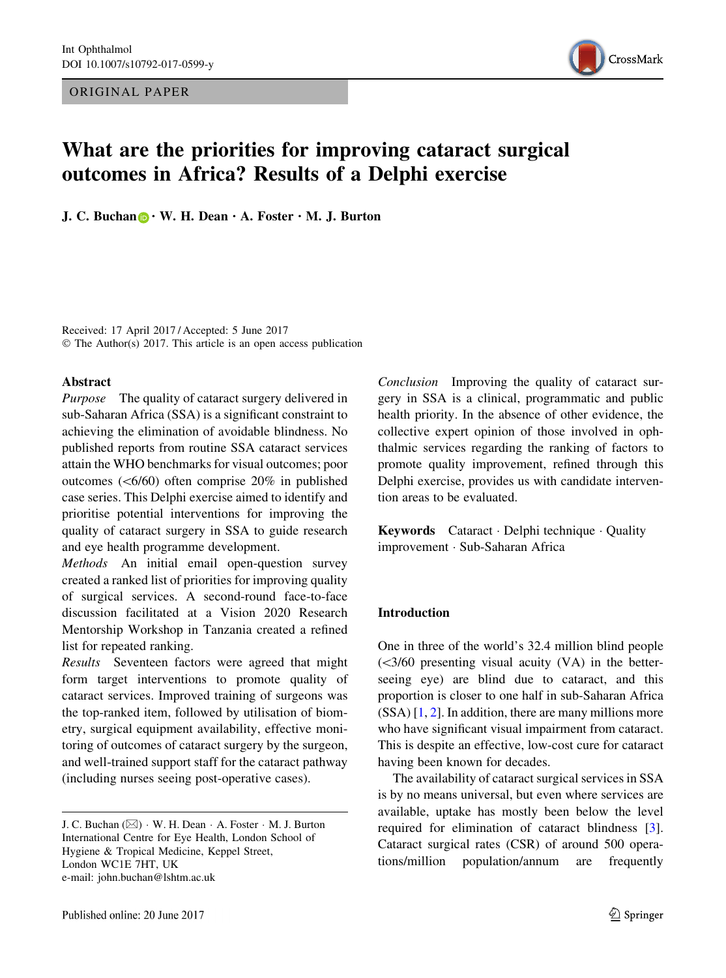ORIGINAL PAPER



# What are the priorities for improving cataract surgical outcomes in Africa? Results of a Delphi exercise

J. C. Buchan  $\mathbf{D} \cdot \mathbf{W}$ . H. Dean  $\cdot$  A. Foster  $\cdot$  M. J. Burton

Received: 17 April 2017 / Accepted: 5 June 2017 © The Author(s) 2017. This article is an open access publication

#### Abstract

Purpose The quality of cataract surgery delivered in sub-Saharan Africa (SSA) is a significant constraint to achieving the elimination of avoidable blindness. No published reports from routine SSA cataract services attain the WHO benchmarks for visual outcomes; poor outcomes  $( $6/60$ ) often comprise 20% in published$ case series. This Delphi exercise aimed to identify and prioritise potential interventions for improving the quality of cataract surgery in SSA to guide research and eye health programme development.

Methods An initial email open-question survey created a ranked list of priorities for improving quality of surgical services. A second-round face-to-face discussion facilitated at a Vision 2020 Research Mentorship Workshop in Tanzania created a refined list for repeated ranking.

Results Seventeen factors were agreed that might form target interventions to promote quality of cataract services. Improved training of surgeons was the top-ranked item, followed by utilisation of biometry, surgical equipment availability, effective monitoring of outcomes of cataract surgery by the surgeon, and well-trained support staff for the cataract pathway (including nurses seeing post-operative cases).

Conclusion Improving the quality of cataract surgery in SSA is a clinical, programmatic and public health priority. In the absence of other evidence, the collective expert opinion of those involved in ophthalmic services regarding the ranking of factors to promote quality improvement, refined through this Delphi exercise, provides us with candidate intervention areas to be evaluated.

Keywords Cataract · Delphi technique · Quality improvement - Sub-Saharan Africa

### Introduction

One in three of the world's 32.4 million blind people  $(<3/60$  presenting visual acuity (VA) in the betterseeing eye) are blind due to cataract, and this proportion is closer to one half in sub-Saharan Africa  $(SSA)$  [[1,](#page-4-0) [2](#page-4-0)]. In addition, there are many millions more who have significant visual impairment from cataract. This is despite an effective, low-cost cure for cataract having been known for decades.

The availability of cataract surgical services in SSA is by no means universal, but even where services are available, uptake has mostly been below the level required for elimination of cataract blindness [\[3](#page-4-0)]. Cataract surgical rates (CSR) of around 500 operations/million population/annum are frequently

J. C. Buchan (&) - W. H. Dean - A. Foster - M. J. Burton International Centre for Eye Health, London School of Hygiene & Tropical Medicine, Keppel Street, London WC1E 7HT, UK e-mail: john.buchan@lshtm.ac.uk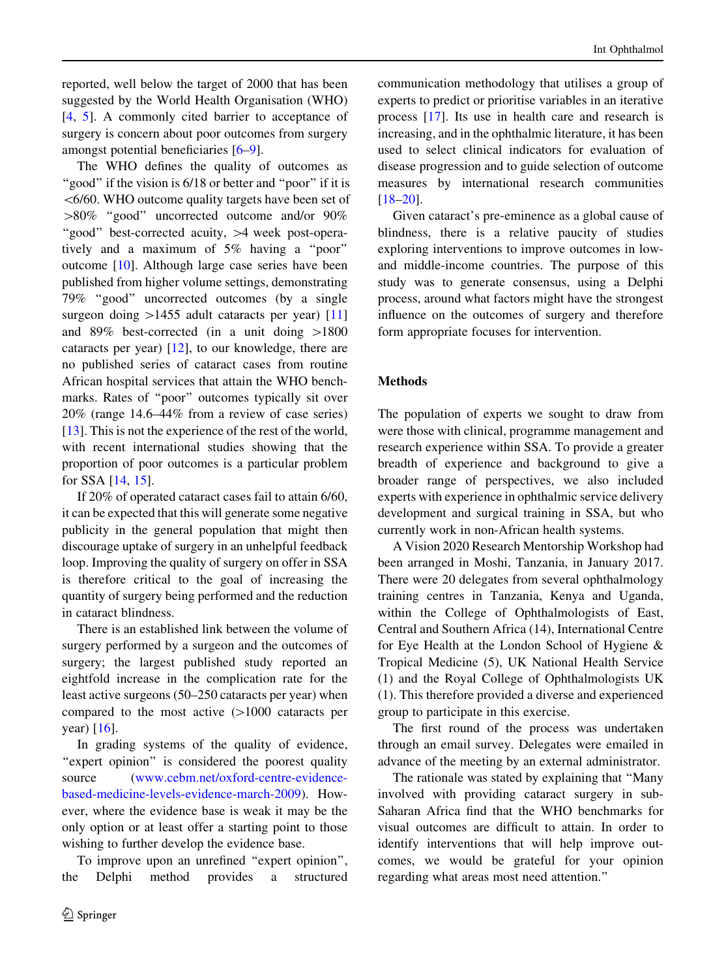reported, well below the target of 2000 that has been suggested by the World Health Organisation (WHO) [\[4](#page-4-0), [5](#page-4-0)]. A commonly cited barrier to acceptance of surgery is concern about poor outcomes from surgery amongst potential beneficiaries [\[6–9](#page-4-0)].

The WHO defines the quality of outcomes as "good" if the vision is 6/18 or better and "poor" if it is  $<$  6/60. WHO outcome quality targets have been set of  $>80\%$  "good" uncorrected outcome and/or 90% "good" best-corrected acuity,  $>4$  week post-operatively and a maximum of 5% having a ''poor'' outcome [\[10](#page-5-0)]. Although large case series have been published from higher volume settings, demonstrating 79% ''good'' uncorrected outcomes (by a single surgeon doing  $>1455$  adult cataracts per year) [[11\]](#page-5-0) and  $89\%$  best-corrected (in a unit doing  $>1800$ cataracts per year) [\[12](#page-5-0)], to our knowledge, there are no published series of cataract cases from routine African hospital services that attain the WHO benchmarks. Rates of ''poor'' outcomes typically sit over 20% (range 14.6–44% from a review of case series) [\[13](#page-5-0)]. This is not the experience of the rest of the world, with recent international studies showing that the proportion of poor outcomes is a particular problem for SSA [\[14,](#page-5-0) [15\]](#page-5-0).

If 20% of operated cataract cases fail to attain 6/60, it can be expected that this will generate some negative publicity in the general population that might then discourage uptake of surgery in an unhelpful feedback loop. Improving the quality of surgery on offer in SSA is therefore critical to the goal of increasing the quantity of surgery being performed and the reduction in cataract blindness.

There is an established link between the volume of surgery performed by a surgeon and the outcomes of surgery; the largest published study reported an eightfold increase in the complication rate for the least active surgeons (50–250 cataracts per year) when compared to the most active  $(>1000$  cataracts per year) [\[16](#page-5-0)].

In grading systems of the quality of evidence, "expert opinion" is considered the poorest quality source [\(www.cebm.net/oxford-centre-evidence](http://www.cebm.net/oxford-centre-evidence-based-medicine-levels-evidence-march-2009)[based-medicine-levels-evidence-march-2009](http://www.cebm.net/oxford-centre-evidence-based-medicine-levels-evidence-march-2009)). However, where the evidence base is weak it may be the only option or at least offer a starting point to those wishing to further develop the evidence base.

To improve upon an unrefined "expert opinion", the Delphi method provides a structured communication methodology that utilises a group of experts to predict or prioritise variables in an iterative process [[17\]](#page-5-0). Its use in health care and research is increasing, and in the ophthalmic literature, it has been used to select clinical indicators for evaluation of disease progression and to guide selection of outcome measures by international research communities [\[18–20](#page-5-0)].

Given cataract's pre-eminence as a global cause of blindness, there is a relative paucity of studies exploring interventions to improve outcomes in lowand middle-income countries. The purpose of this study was to generate consensus, using a Delphi process, around what factors might have the strongest influence on the outcomes of surgery and therefore form appropriate focuses for intervention.

## **Methods**

The population of experts we sought to draw from were those with clinical, programme management and research experience within SSA. To provide a greater breadth of experience and background to give a broader range of perspectives, we also included experts with experience in ophthalmic service delivery development and surgical training in SSA, but who currently work in non-African health systems.

A Vision 2020 Research Mentorship Workshop had been arranged in Moshi, Tanzania, in January 2017. There were 20 delegates from several ophthalmology training centres in Tanzania, Kenya and Uganda, within the College of Ophthalmologists of East, Central and Southern Africa (14), International Centre for Eye Health at the London School of Hygiene & Tropical Medicine (5), UK National Health Service (1) and the Royal College of Ophthalmologists UK (1). This therefore provided a diverse and experienced group to participate in this exercise.

The first round of the process was undertaken through an email survey. Delegates were emailed in advance of the meeting by an external administrator.

The rationale was stated by explaining that ''Many involved with providing cataract surgery in sub-Saharan Africa find that the WHO benchmarks for visual outcomes are difficult to attain. In order to identify interventions that will help improve outcomes, we would be grateful for your opinion regarding what areas most need attention.''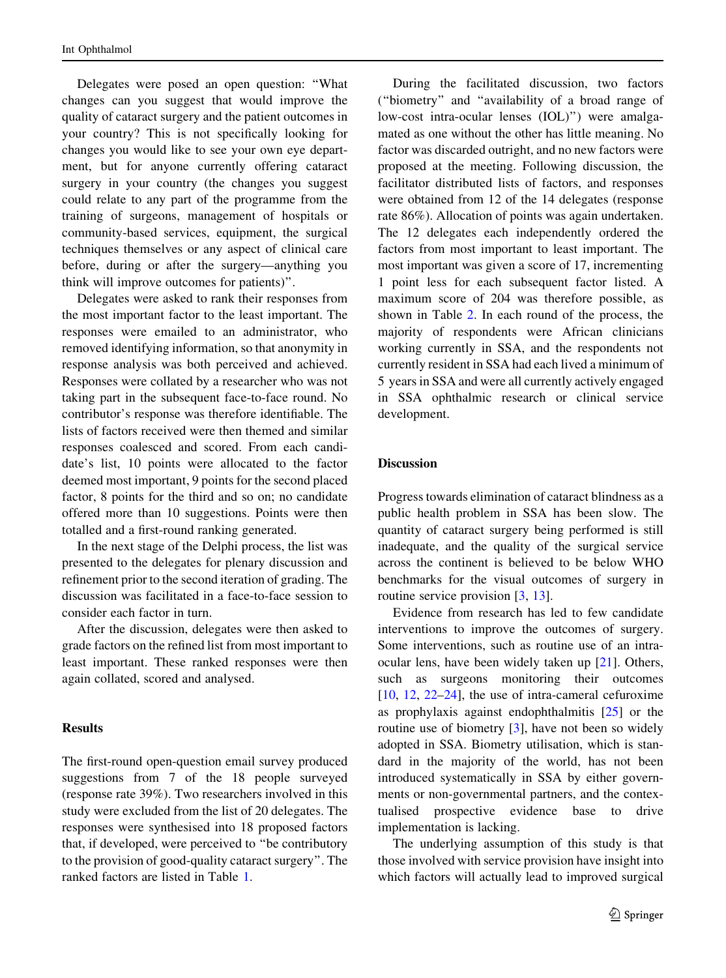Delegates were posed an open question: ''What changes can you suggest that would improve the quality of cataract surgery and the patient outcomes in your country? This is not specifically looking for changes you would like to see your own eye department, but for anyone currently offering cataract surgery in your country (the changes you suggest could relate to any part of the programme from the training of surgeons, management of hospitals or community-based services, equipment, the surgical techniques themselves or any aspect of clinical care before, during or after the surgery—anything you think will improve outcomes for patients)''.

Delegates were asked to rank their responses from the most important factor to the least important. The responses were emailed to an administrator, who removed identifying information, so that anonymity in response analysis was both perceived and achieved. Responses were collated by a researcher who was not taking part in the subsequent face-to-face round. No contributor's response was therefore identifiable. The lists of factors received were then themed and similar responses coalesced and scored. From each candidate's list, 10 points were allocated to the factor deemed most important, 9 points for the second placed factor, 8 points for the third and so on; no candidate offered more than 10 suggestions. Points were then totalled and a first-round ranking generated.

In the next stage of the Delphi process, the list was presented to the delegates for plenary discussion and refinement prior to the second iteration of grading. The discussion was facilitated in a face-to-face session to consider each factor in turn.

After the discussion, delegates were then asked to grade factors on the refined list from most important to least important. These ranked responses were then again collated, scored and analysed.

#### Results

The first-round open-question email survey produced suggestions from 7 of the 18 people surveyed (response rate 39%). Two researchers involved in this study were excluded from the list of 20 delegates. The responses were synthesised into 18 proposed factors that, if developed, were perceived to ''be contributory to the provision of good-quality cataract surgery''. The ranked factors are listed in Table [1](#page-3-0).

During the facilitated discussion, two factors (''biometry'' and ''availability of a broad range of low-cost intra-ocular lenses (IOL)'') were amalgamated as one without the other has little meaning. No factor was discarded outright, and no new factors were proposed at the meeting. Following discussion, the facilitator distributed lists of factors, and responses were obtained from 12 of the 14 delegates (response rate 86%). Allocation of points was again undertaken. The 12 delegates each independently ordered the factors from most important to least important. The most important was given a score of 17, incrementing 1 point less for each subsequent factor listed. A maximum score of 204 was therefore possible, as shown in Table [2](#page-3-0). In each round of the process, the majority of respondents were African clinicians working currently in SSA, and the respondents not currently resident in SSA had each lived a minimum of 5 years in SSA and were all currently actively engaged in SSA ophthalmic research or clinical service development.

#### Discussion

Progress towards elimination of cataract blindness as a public health problem in SSA has been slow. The quantity of cataract surgery being performed is still inadequate, and the quality of the surgical service across the continent is believed to be below WHO benchmarks for the visual outcomes of surgery in routine service provision [\[3](#page-4-0), [13](#page-5-0)].

Evidence from research has led to few candidate interventions to improve the outcomes of surgery. Some interventions, such as routine use of an intraocular lens, have been widely taken up [\[21](#page-5-0)]. Others, such as surgeons monitoring their outcomes [\[10](#page-5-0), [12](#page-5-0), [22–24\]](#page-5-0), the use of intra-cameral cefuroxime as prophylaxis against endophthalmitis [\[25](#page-5-0)] or the routine use of biometry [\[3](#page-4-0)], have not been so widely adopted in SSA. Biometry utilisation, which is standard in the majority of the world, has not been introduced systematically in SSA by either governments or non-governmental partners, and the contextualised prospective evidence base to drive implementation is lacking.

The underlying assumption of this study is that those involved with service provision have insight into which factors will actually lead to improved surgical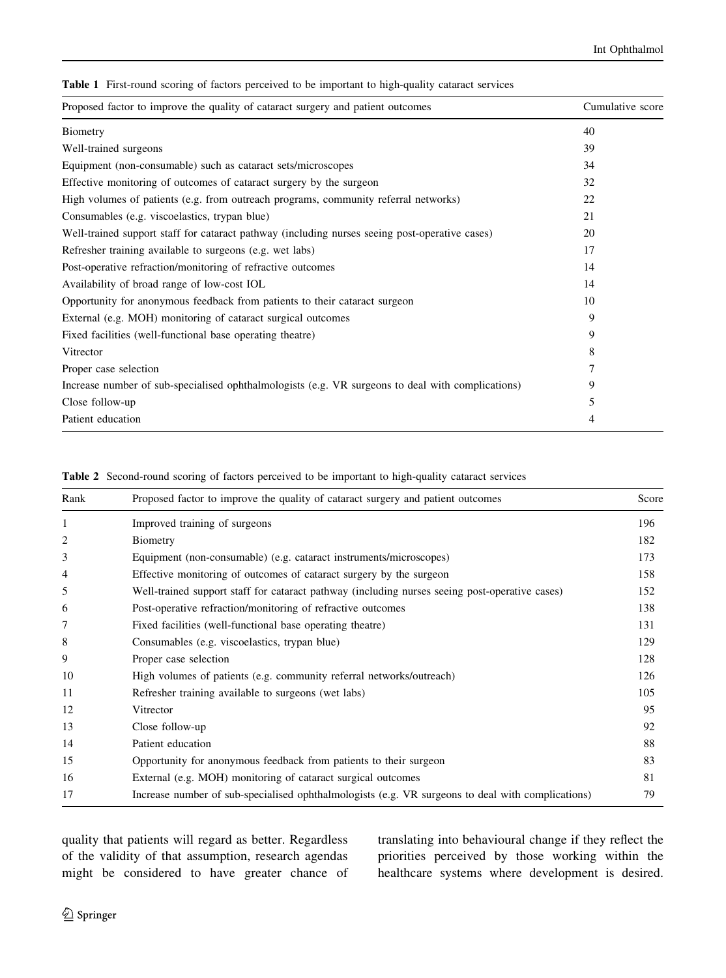<span id="page-3-0"></span>Table 1 First-round scoring of factors perceived to be important to high-quality cataract services

| Proposed factor to improve the quality of cataract surgery and patient outcomes                   | Cumulative score |  |
|---------------------------------------------------------------------------------------------------|------------------|--|
| Biometry                                                                                          | 40               |  |
| Well-trained surgeons                                                                             | 39               |  |
| Equipment (non-consumable) such as cataract sets/microscopes                                      | 34               |  |
| Effective monitoring of outcomes of cataract surgery by the surgeon                               | 32               |  |
| High volumes of patients (e.g. from outreach programs, community referral networks)               | 22               |  |
| Consumables (e.g. viscoelastics, trypan blue)                                                     | 21               |  |
| Well-trained support staff for cataract pathway (including nurses seeing post-operative cases)    | 20               |  |
| Refresher training available to surgeons (e.g. wet labs)                                          | 17               |  |
| Post-operative refraction/monitoring of refractive outcomes                                       | 14               |  |
| Availability of broad range of low-cost IOL                                                       | 14               |  |
| Opportunity for anonymous feedback from patients to their cataract surgeon                        | 10               |  |
| External (e.g. MOH) monitoring of cataract surgical outcomes                                      | 9                |  |
| Fixed facilities (well-functional base operating theatre)                                         | 9                |  |
| Vitrector                                                                                         | 8                |  |
| Proper case selection                                                                             |                  |  |
| Increase number of sub-specialised ophthalmologists (e.g. VR surgeons to deal with complications) | 9                |  |
| Close follow-up                                                                                   | 5                |  |
| Patient education                                                                                 | 4                |  |

|  |  |  |  |  |  | Table 2 Second-round scoring of factors perceived to be important to high-quality cataract services |  |  |
|--|--|--|--|--|--|-----------------------------------------------------------------------------------------------------|--|--|
|--|--|--|--|--|--|-----------------------------------------------------------------------------------------------------|--|--|

| Rank | Proposed factor to improve the quality of cataract surgery and patient outcomes                   |     |  |  |  |
|------|---------------------------------------------------------------------------------------------------|-----|--|--|--|
| 1    | Improved training of surgeons                                                                     | 196 |  |  |  |
| 2    | Biometry                                                                                          | 182 |  |  |  |
| 3    | Equipment (non-consumable) (e.g. cataract instruments/microscopes)                                | 173 |  |  |  |
| 4    | Effective monitoring of outcomes of cataract surgery by the surgeon                               | 158 |  |  |  |
| 5    | Well-trained support staff for cataract pathway (including nurses seeing post-operative cases)    | 152 |  |  |  |
| 6    | Post-operative refraction/monitoring of refractive outcomes                                       | 138 |  |  |  |
| 7    | Fixed facilities (well-functional base operating theatre)                                         | 131 |  |  |  |
| 8    | Consumables (e.g. viscoelastics, trypan blue)                                                     | 129 |  |  |  |
| 9    | Proper case selection                                                                             | 128 |  |  |  |
| 10   | High volumes of patients (e.g. community referral networks/outreach)                              | 126 |  |  |  |
| 11   | Refresher training available to surgeons (wet labs)                                               | 105 |  |  |  |
| 12   | Vitrector                                                                                         | 95  |  |  |  |
| 13   | Close follow-up                                                                                   | 92  |  |  |  |
| 14   | Patient education                                                                                 | 88  |  |  |  |
| 15   | Opportunity for anonymous feedback from patients to their surgeon                                 | 83  |  |  |  |
| 16   | External (e.g. MOH) monitoring of cataract surgical outcomes                                      | 81  |  |  |  |
| 17   | Increase number of sub-specialised ophthalmologists (e.g. VR surgeons to deal with complications) | 79  |  |  |  |

quality that patients will regard as better. Regardless of the validity of that assumption, research agendas might be considered to have greater chance of translating into behavioural change if they reflect the priorities perceived by those working within the healthcare systems where development is desired.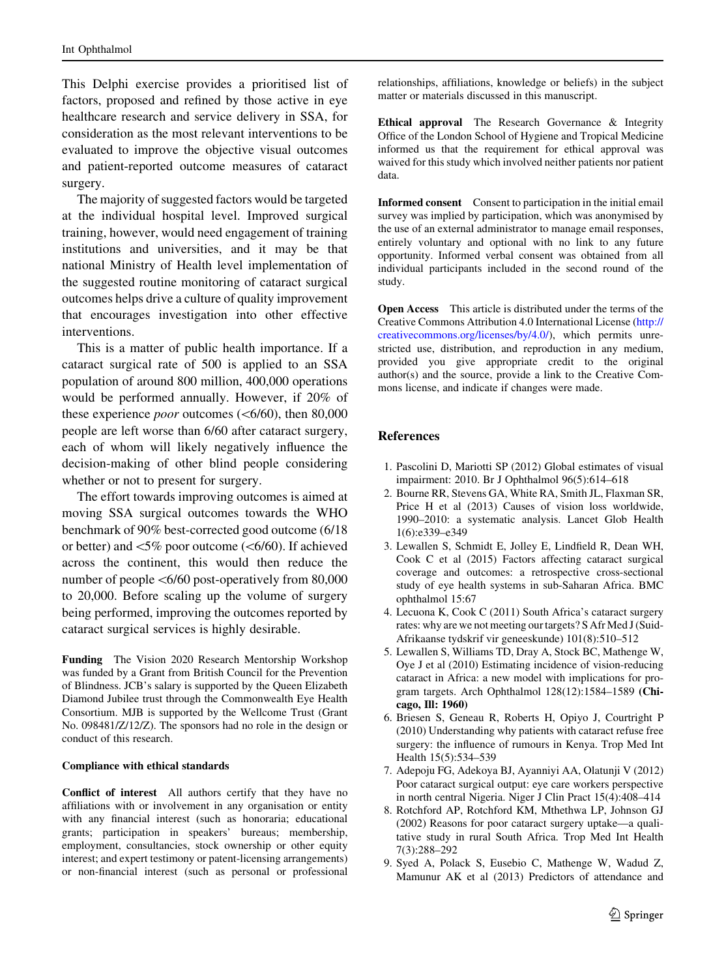<span id="page-4-0"></span>This Delphi exercise provides a prioritised list of factors, proposed and refined by those active in eye healthcare research and service delivery in SSA, for consideration as the most relevant interventions to be evaluated to improve the objective visual outcomes and patient-reported outcome measures of cataract surgery.

The majority of suggested factors would be targeted at the individual hospital level. Improved surgical training, however, would need engagement of training institutions and universities, and it may be that national Ministry of Health level implementation of the suggested routine monitoring of cataract surgical outcomes helps drive a culture of quality improvement that encourages investigation into other effective interventions.

This is a matter of public health importance. If a cataract surgical rate of 500 is applied to an SSA population of around 800 million, 400,000 operations would be performed annually. However, if 20% of these experience *poor* outcomes ( $\lt$  6/60), then 80,000 people are left worse than 6/60 after cataract surgery, each of whom will likely negatively influence the decision-making of other blind people considering whether or not to present for surgery.

The effort towards improving outcomes is aimed at moving SSA surgical outcomes towards the WHO benchmark of 90% best-corrected good outcome (6/18 or better) and  $\lt5\%$  poor outcome ( $\lt6/60$ ). If achieved across the continent, this would then reduce the number of people  $\langle 6/60 \text{ post-operatively from } 80,000 \rangle$ to 20,000. Before scaling up the volume of surgery being performed, improving the outcomes reported by cataract surgical services is highly desirable.

Funding The Vision 2020 Research Mentorship Workshop was funded by a Grant from British Council for the Prevention of Blindness. JCB's salary is supported by the Queen Elizabeth Diamond Jubilee trust through the Commonwealth Eye Health Consortium. MJB is supported by the Wellcome Trust (Grant No. 098481/Z/12/Z). The sponsors had no role in the design or conduct of this research.

#### Compliance with ethical standards

Conflict of interest All authors certify that they have no affiliations with or involvement in any organisation or entity with any financial interest (such as honoraria; educational grants; participation in speakers' bureaus; membership, employment, consultancies, stock ownership or other equity interest; and expert testimony or patent-licensing arrangements) or non-financial interest (such as personal or professional relationships, affiliations, knowledge or beliefs) in the subject matter or materials discussed in this manuscript.

Ethical approval The Research Governance & Integrity Office of the London School of Hygiene and Tropical Medicine informed us that the requirement for ethical approval was waived for this study which involved neither patients nor patient data.

Informed consent Consent to participation in the initial email survey was implied by participation, which was anonymised by the use of an external administrator to manage email responses, entirely voluntary and optional with no link to any future opportunity. Informed verbal consent was obtained from all individual participants included in the second round of the study.

Open Access This article is distributed under the terms of the Creative Commons Attribution 4.0 International License ([http://](http://creativecommons.org/licenses/by/4.0/) [creativecommons.org/licenses/by/4.0/\)](http://creativecommons.org/licenses/by/4.0/), which permits unrestricted use, distribution, and reproduction in any medium, provided you give appropriate credit to the original author(s) and the source, provide a link to the Creative Commons license, and indicate if changes were made.

### References

- 1. Pascolini D, Mariotti SP (2012) Global estimates of visual impairment: 2010. Br J Ophthalmol 96(5):614–618
- 2. Bourne RR, Stevens GA, White RA, Smith JL, Flaxman SR, Price H et al (2013) Causes of vision loss worldwide, 1990–2010: a systematic analysis. Lancet Glob Health 1(6):e339–e349
- 3. Lewallen S, Schmidt E, Jolley E, Lindfield R, Dean WH, Cook C et al (2015) Factors affecting cataract surgical coverage and outcomes: a retrospective cross-sectional study of eye health systems in sub-Saharan Africa. BMC ophthalmol 15:67
- 4. Lecuona K, Cook C (2011) South Africa's cataract surgery rates: why are we not meeting our targets? S Afr Med J (Suid-Afrikaanse tydskrif vir geneeskunde) 101(8):510–512
- 5. Lewallen S, Williams TD, Dray A, Stock BC, Mathenge W, Oye J et al (2010) Estimating incidence of vision-reducing cataract in Africa: a new model with implications for program targets. Arch Ophthalmol 128(12):1584–1589 (Chicago, Ill: 1960)
- 6. Briesen S, Geneau R, Roberts H, Opiyo J, Courtright P (2010) Understanding why patients with cataract refuse free surgery: the influence of rumours in Kenya. Trop Med Int Health 15(5):534–539
- 7. Adepoju FG, Adekoya BJ, Ayanniyi AA, Olatunji V (2012) Poor cataract surgical output: eye care workers perspective in north central Nigeria. Niger J Clin Pract 15(4):408–414
- 8. Rotchford AP, Rotchford KM, Mthethwa LP, Johnson GJ (2002) Reasons for poor cataract surgery uptake—a qualitative study in rural South Africa. Trop Med Int Health 7(3):288–292
- 9. Syed A, Polack S, Eusebio C, Mathenge W, Wadud Z, Mamunur AK et al (2013) Predictors of attendance and